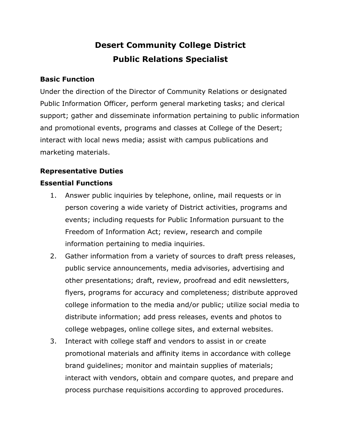## **Desert Community College District Public Relations Specialist**

#### **Basic Function**

Under the direction of the Director of Community Relations or designated Public Information Officer, perform general marketing tasks; and clerical support; gather and disseminate information pertaining to public information and promotional events, programs and classes at College of the Desert; interact with local news media; assist with campus publications and marketing materials.

#### **Representative Duties**

#### **Essential Functions**

- 1. Answer public inquiries by telephone, online, mail requests or in person covering a wide variety of District activities, programs and events; including requests for Public Information pursuant to the Freedom of Information Act; review, research and compile information pertaining to media inquiries.
- 2. Gather information from a variety of sources to draft press releases, public service announcements, media advisories, advertising and other presentations; draft, review, proofread and edit newsletters, flyers, programs for accuracy and completeness; distribute approved college information to the media and/or public; utilize social media to distribute information; add press releases, events and photos to college webpages, online college sites, and external websites.
- 3. Interact with college staff and vendors to assist in or create promotional materials and affinity items in accordance with college brand guidelines; monitor and maintain supplies of materials; interact with vendors, obtain and compare quotes, and prepare and process purchase requisitions according to approved procedures.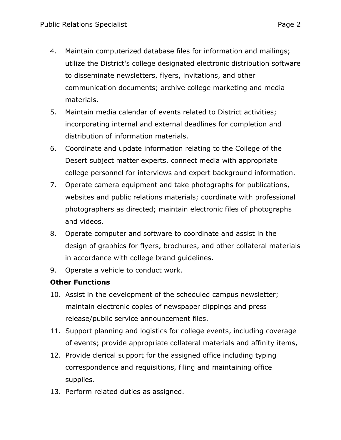- 4. Maintain computerized database files for information and mailings; utilize the District's college designated electronic distribution software to disseminate newsletters, flyers, invitations, and other communication documents; archive college marketing and media materials.
- 5. Maintain media calendar of events related to District activities; incorporating internal and external deadlines for completion and distribution of information materials.
- 6. Coordinate and update information relating to the College of the Desert subject matter experts, connect media with appropriate college personnel for interviews and expert background information.
- 7. Operate camera equipment and take photographs for publications, websites and public relations materials; coordinate with professional photographers as directed; maintain electronic files of photographs and videos.
- 8. Operate computer and software to coordinate and assist in the design of graphics for flyers, brochures, and other collateral materials in accordance with college brand guidelines.
- 9. Operate a vehicle to conduct work.

## **Other Functions**

- 10. Assist in the development of the scheduled campus newsletter; maintain electronic copies of newspaper clippings and press release/public service announcement files.
- 11. Support planning and logistics for college events, including coverage of events; provide appropriate collateral materials and affinity items,
- 12. Provide clerical support for the assigned office including typing correspondence and requisitions, filing and maintaining office supplies.
- 13. Perform related duties as assigned.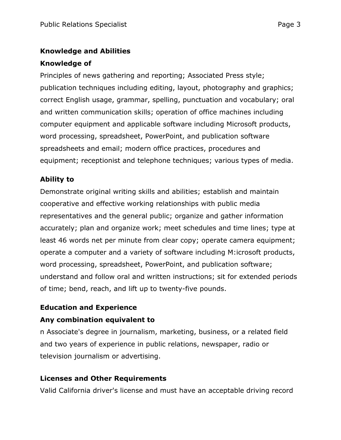# **Knowledge and Abilities**

#### **Knowledge of**

Principles of news gathering and reporting; Associated Press style; publication techniques including editing, layout, photography and graphics; correct English usage, grammar, spelling, punctuation and vocabulary; oral and written communication skills; operation of office machines including computer equipment and applicable software including Microsoft products, word processing, spreadsheet, PowerPoint, and publication software spreadsheets and email; modern office practices, procedures and equipment; receptionist and telephone techniques; various types of media.

## **Ability to**

Demonstrate original writing skills and abilities; establish and maintain cooperative and effective working relationships with public media representatives and the general public; organize and gather information accurately; plan and organize work; meet schedules and time lines; type at least 46 words net per minute from clear copy; operate camera equipment; operate a computer and a variety of software including M:icrosoft products, word processing, spreadsheet, PowerPoint, and publication software; understand and follow oral and written instructions; sit for extended periods of time; bend, reach, and lift up to twenty-five pounds.

## **Education and Experience**

#### **Any combination equivalent to**

n Associate's degree in journalism, marketing, business, or a related field and two years of experience in public relations, newspaper, radio or television journalism or advertising.

## **Licenses and Other Requirements**

Valid California driver's license and must have an acceptable driving record